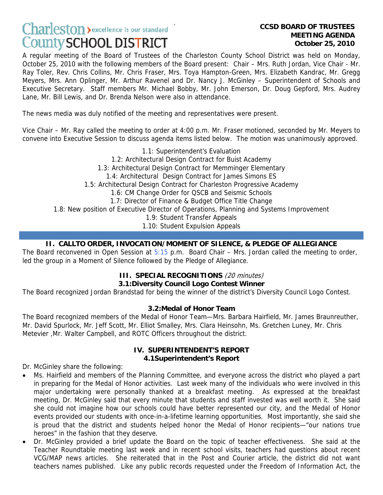# **Charleston** > excellence is our standard **County SCHOOL DISTRICT**

# **MEETING AGENDA October 25, 2010**

A regular meeting of the Board of Trustees of the Charleston County School District was held on Monday, October 25, 2010 with the following members of the Board present: Chair – Mrs. Ruth Jordan, Vice Chair - Mr. Ray Toler, Rev. Chris Collins, Mr. Chris Fraser, Mrs. Toya Hampton-Green, Mrs. Elizabeth Kandrac, Mr. Gregg Meyers, Mrs. Ann Oplinger, Mr. Arthur Ravenel and Dr. Nancy J. McGinley – Superintendent of Schools and Executive Secretary. Staff members Mr. Michael Bobby, Mr. John Emerson, Dr. Doug Gepford, Mrs. Audrey Lane, Mr. Bill Lewis, and Dr. Brenda Nelson were also in attendance.

The news media was duly notified of the meeting and representatives were present.

Vice Chair – Mr. Ray called the meeting to order at 4:00 p.m. Mr. Fraser motioned, seconded by Mr. Meyers to convene into Executive Session to discuss agenda items listed below. The motion was unanimously approved.

1.1: Superintendent's Evaluation 1.2: Architectural Design Contract for Buist Academy 1.3: Architectural Design Contract for Memminger Elementary 1.4: Architectural Design Contract for James Simons ES 1.5: Architectural Design Contract for Charleston Progressive Academy 1.6: CM Change Order for QSCB and Seismic Schools 1.7: Director of Finance & Budget Office Title Change 1.8: New position of Executive Director of Operations, Planning and Systems Improvement 1.9: Student Transfer Appeals

1.10: Student Expulsion Appeals

## **II. CALLTO ORDER, INVOCATION/MOMENT OF SILENCE, & PLEDGE OF ALLEGIANCE**

The Board reconvened in Open Session at  $5:15$  p.m. Board Chair – Mrs. Jordan called the meeting to order, led the group in a Moment of Silence followed by the Pledge of Allegiance.

#### **III. SPECIAL RECOGNITIONS** (20 minutes)

#### **3.1:Diversity Council Logo Contest Winner**

The Board recognized Jordan Brandstad for being the winner of the district's Diversity Council Logo Contest.

#### **3.2:Medal of Honor Team**

The Board recognized members of the Medal of Honor Team—Mrs. Barbara Hairfield, Mr. James Braunreuther, Mr. David Spurlock, Mr. Jeff Scott, Mr. Elliot Smalley, Mrs. Clara Heinsohn, Ms. Gretchen Luney, Mr. Chris Metevier ,Mr. Walter Campbell, and ROTC Officers throughout the district.

#### **IV. SUPERINTENDENT'S REPORT 4.1Superintendent's Report**

Dr. McGinley share the following:

- Ms. Hairfield and members of the Planning Committee, and everyone across the district who played a part in preparing for the Medal of Honor activities. Last week many of the individuals who were involved in this major undertaking were personally thanked at a breakfast meeting. As expressed at the breakfast meeting, Dr. McGinley said that every minute that students and staff invested was well worth it. She said she could not imagine how our schools could have better represented our city, and the Medal of Honor events provided our students with once-in-a-lifetime learning opportunities. Most importantly, she said she is proud that the district and students helped honor the Medal of Honor recipients—"our nations true heroes" in the fashion that they deserve.
- Dr. McGinley provided a brief update the Board on the topic of teacher effectiveness. She said at the Teacher Roundtable meeting last week and in recent school visits, teachers had questions about recent VCG/MAP news articles. She reiterated that in the Post and Courier article, the district did not want teachers names published. Like any public records requested under the Freedom of Information Act, the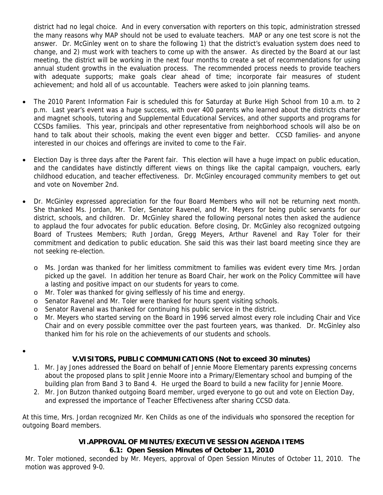district had no legal choice. And in every conversation with reporters on this topic, administration stressed the many reasons why MAP should not be used to evaluate teachers. MAP or any one test score is not the answer. Dr. McGinley went on to share the following 1) that the district's evaluation system does need to change, and 2) must work with teachers to come up with the answer. As directed by the Board at our last meeting, the district will be working in the next four months to create a set of recommendations for using annual student growths in the evaluation process. The recommended process needs to provide teachers with adequate supports; make goals clear ahead of time; incorporate fair measures of student achievement; and hold all of us accountable. Teachers were asked to join planning teams.

- The 2010 Parent Information Fair is scheduled this for Saturday at Burke High School from 10 a.m. to 2 p.m. Last year's event was a huge success, with over 400 parents who learned about the districts charter and magnet schools, tutoring and Supplemental Educational Services, and other supports and programs for CCSDs families. This year, principals and other representative from neighborhood schools will also be on hand to talk about their schools, making the event even bigger and better. CCSD families- and anyone interested in our choices and offerings are invited to come to the Fair.
- Election Day is three days after the Parent fair. This election will have a huge impact on public education, and the candidates have distinctly different views on things like the capital campaign, vouchers, early childhood education, and teacher effectiveness. Dr. McGinley encouraged community members to get out and vote on November 2nd.
- Dr. McGinley expressed appreciation for the four Board Members who will not be returning next month. She thanked Ms. Jordan, Mr. Toler, Senator Ravenel, and Mr. Meyers for being public servants for our district, schools, and children. Dr. McGinley shared the following personal notes then asked the audience to applaud the four advocates for public education. Before closing, Dr. McGinley also recognized outgoing Board of Trustees Members; Ruth Jordan, Gregg Meyers, Arthur Ravenel and Ray Toler for their commitment and dedication to public education. She said this was their last board meeting since they are not seeking re-election.
	- o Ms. Jordan was thanked for her limitless commitment to families was evident every time Mrs. Jordan picked up the gavel. In addition her tenure as Board Chair, her work on the Policy Committee will have a lasting and positive impact on our students for years to come.
	- o Mr. Toler was thanked for giving selflessly of his time and energy.

•

- o Senator Ravenel and Mr. Toler were thanked for hours spent visiting schools.
- o Senator Ravenal was thanked for continuing his public service in the district.
- o Mr. Meyers who started serving on the Board in 1996 served almost every role including Chair and Vice Chair and on every possible committee over the past fourteen years, was thanked. Dr. McGinley also thanked him for his role on the achievements of our students and schools.

#### **V.VISITORS, PUBLIC COMMUNICATIONS (Not to exceed 30 minutes)**

- 1. Mr. Jay Jones addressed the Board on behalf of Jennie Moore Elementary parents expressing concerns about the proposed plans to split Jennie Moore into a Primary/Elementary school and bumping of the building plan from Band 3 to Band 4. He urged the Board to build a new facility for Jennie Moore.
- 2. Mr. Jon Butzon thanked outgoing Board member, urged everyone to go out and vote on Election Day, and expressed the importance of Teacher Effectiveness after sharing CCSD data.

At this time, Mrs. Jordan recognized Mr. Ken Childs as one of the individuals who sponsored the reception for outgoing Board members.

#### **VI.APPROVAL OF MINUTES/EXECUTIVE SESSION AGENDA ITEMS**

#### **6.1: Open Session Minutes of October 11, 2010**

Mr. Toler motioned, seconded by Mr. Meyers, approval of Open Session Minutes of October 11, 2010. The motion was approved 9-0.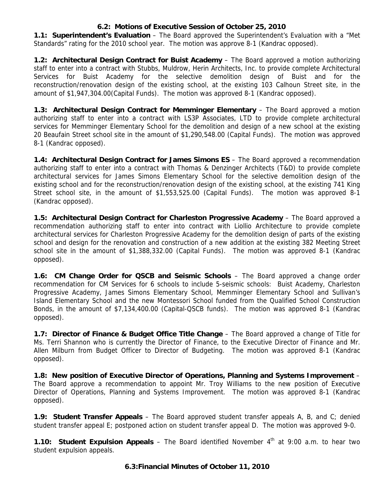#### **6.2: Motions of Executive Session of October 25, 2010**

**1.1: Superintendent's Evaluation** – The Board approved the Superintendent's Evaluation with a "Met Standards" rating for the 2010 school year. The motion was approve 8-1 (Kandrac opposed).

**1.2: Architectural Design Contract for Buist Academy** – The Board approved a motion authorizing staff to enter into a contract with Stubbs, Muldrow, Herin Architects, Inc. to provide complete Architectural Services for Buist Academy for the selective demolition design of Buist and for the reconstruction/renovation design of the existing school, at the existing 103 Calhoun Street site, in the amount of \$1,947,304.00(Capital Funds). The motion was approved 8-1 (Kandrac opposed).

**1.3: Architectural Design Contract for Memminger Elementary** – The Board approved a motion authorizing staff to enter into a contract with LS3P Associates, LTD to provide complete architectural services for Memminger Elementary School for the demolition and design of a new school at the existing 20 Beaufain Street school site in the amount of \$1,290,548.00 (Capital Funds). The motion was approved 8-1 (Kandrac opposed).

**1.4: Architectural Design Contract for James Simons ES** – The Board approved a recommendation authorizing staff to enter into a contract with Thomas & Denzinger Architects (T&D) to provide complete architectural services for James Simons Elementary School for the selective demolition design of the existing school and for the reconstruction/renovation design of the existing school, at the existing 741 King Street school site, in the amount of \$1,553,525.00 (Capital Funds). The motion was approved 8-1 (Kandrac opposed).

**1.5: Architectural Design Contract for Charleston Progressive Academy** – The Board approved a recommendation authorizing staff to enter into contract with Liollio Architecture to provide complete architectural services for Charleston Progressive Academy for the demolition design of parts of the existing school and design for the renovation and construction of a new addition at the existing 382 Meeting Street school site in the amount of \$1,388,332.00 (Capital Funds). The motion was approved 8-1 (Kandrac opposed).

**1.6: CM Change Order for QSCB and Seismic Schools** – The Board approved a change order recommendation for CM Services for 6 schools to include 5-seismic schools: Buist Academy, Charleston Progressive Academy, James Simons Elementary School, Memminger Elementary School and Sullivan's Island Elementary School and the new Montessori School funded from the Qualified School Construction Bonds, in the amount of \$7,134,400.00 (Capital-QSCB funds). The motion was approved 8-1 (Kandrac opposed).

**1.7: Director of Finance & Budget Office Title Change** – The Board approved a change of Title for Ms. Terri Shannon who is currently the Director of Finance, to the Executive Director of Finance and Mr. Allen Milburn from Budget Officer to Director of Budgeting. The motion was approved 8-1 (Kandrac opposed).

**1.8: New position of Executive Director of Operations, Planning and Systems Improvement** – The Board approve a recommendation to appoint Mr. Troy Williams to the new position of Executive Director of Operations, Planning and Systems Improvement. The motion was approved 8-1 (Kandrac opposed).

**1.9: Student Transfer Appeals** – The Board approved student transfer appeals A, B, and C; denied student transfer appeal E; postponed action on student transfer appeal D. The motion was approved 9-0.

**1.10: Student Expulsion Appeals** – The Board identified November 4<sup>th</sup> at 9:00 a.m. to hear two student expulsion appeals.

#### **6.3:Financial Minutes of October 11, 2010**